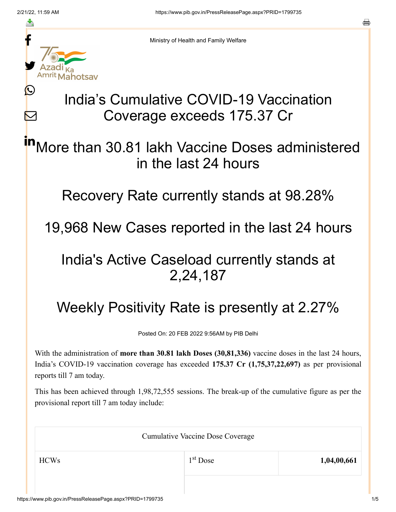≛

Ŀ

 $\bm{\nabla}$ 



Ministry of Health and Family Welfare

## India's Cumulative COVID-19 Vaccination Coverage exceeds 175.37 Cr

More than 30.81 lakh Vaccine Doses administered in the last 24 hours in

Recovery Rate currently stands at 98.28%

19,968 New Cases reported in the last 24 hours

## India's Active Caseload currently stands at 2,24,187

## Weekly Positivity Rate is presently at 2.27%

Posted On: 20 FEB 2022 9:56AM by PIB Delhi

With the administration of **more than 30.81 lakh Doses (30,81,336)** vaccine doses in the last 24 hours, India's COVID-19 vaccination coverage has exceeded **175.37 Cr (1,75,37,22,697)** as per provisional reports till 7 am today.

This has been achieved through 1,98,72,555 sessions. The break-up of the cumulative figure as per the provisional report till 7 am today include:

| <b>Cumulative Vaccine Dose Coverage</b> |            |             |  |
|-----------------------------------------|------------|-------------|--|
| <b>HCWs</b>                             | $1st$ Dose | 1,04,00,661 |  |
|                                         |            |             |  |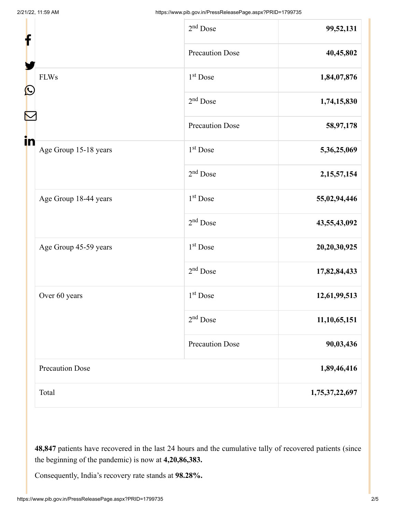| f                 |                        | $2nd$ Dose             | 99,52,131      |
|-------------------|------------------------|------------------------|----------------|
|                   |                        | Precaution Dose        | 40,45,802      |
| $\mathbf{\Omega}$ | <b>FLWs</b>            | 1 <sup>st</sup> Dose   | 1,84,07,876    |
|                   |                        | $2nd$ Dose             | 1,74,15,830    |
|                   |                        | <b>Precaution Dose</b> | 58,97,178      |
| in                | Age Group 15-18 years  | $1st$ Dose             | 5,36,25,069    |
|                   |                        | $2nd$ Dose             | 2, 15, 57, 154 |
|                   | Age Group 18-44 years  | $1st$ Dose             | 55,02,94,446   |
|                   |                        | $2nd$ Dose             | 43,55,43,092   |
|                   | Age Group 45-59 years  | 1 <sup>st</sup> Dose   | 20,20,30,925   |
|                   |                        | $2nd$ Dose             | 17,82,84,433   |
|                   | Over 60 years          | $1st$ Dose             | 12,61,99,513   |
|                   |                        | $2nd$ Dose             | 11,10,65,151   |
|                   |                        | <b>Precaution Dose</b> | 90,03,436      |
|                   | <b>Precaution Dose</b> |                        | 1,89,46,416    |
|                   | Total                  |                        | 1,75,37,22,697 |

**48,847** patients have recovered in the last 24 hours and the cumulative tally of recovered patients (since the beginning of the pandemic) is now at **4,20,86,383.**

Consequently, India's recovery rate stands at **98.28%.**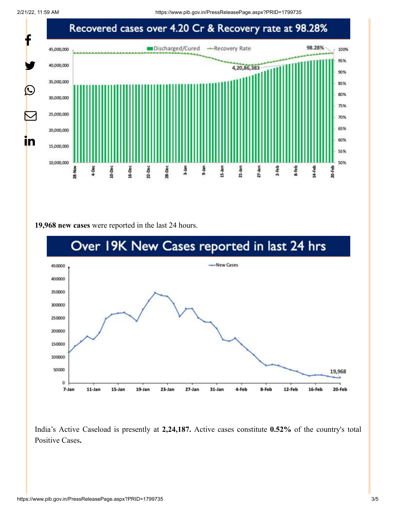2/21/22, 11:59 AM https://www.pib.gov.in/PressReleasePage.aspx?PRID=1799735



**19,968 new cases** were reported in the last 24 hours.



India's Active Caseload is presently at **2,24,187.** Active cases constitute **0.52%** of the country's total Positive Cases**.**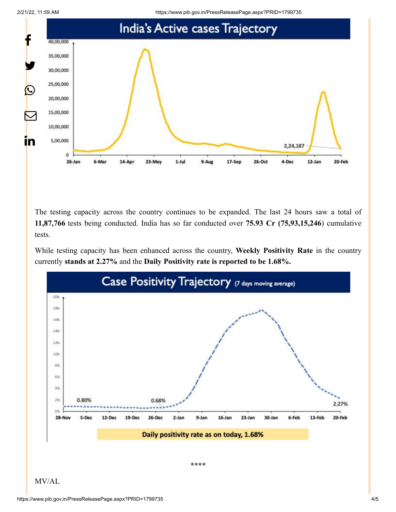



The testing capacity across the country continues to be expanded. The last 24 hours saw a total of **11,87,766** tests being conducted. India has so far conducted over **75.93 Cr (75,93,15,246**) cumulative tests.

While testing capacity has been enhanced across the country, **Weekly Positivity Rate** in the country currently **stands at 2.27%** and the **Daily Positivity rate is reported to be 1.68%.**